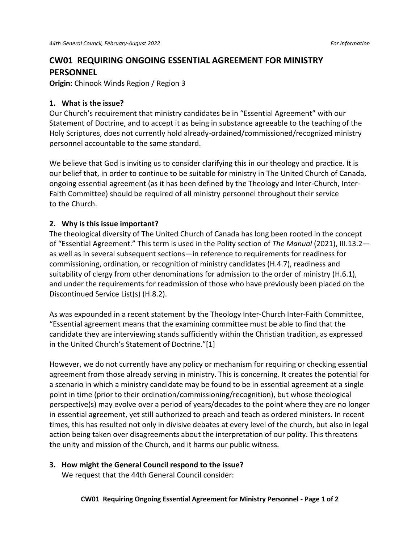# **CW01 REQUIRING ONGOING ESSENTIAL AGREEMENT FOR MINISTRY PERSONNEL**

**Origin:** Chinook Winds Region / Region 3

## **1. What is the issue?**

Our Church's requirement that ministry candidates be in "Essential Agreement" with our Statement of Doctrine, and to accept it as being in substance agreeable to the teaching of the Holy Scriptures, does not currently hold already-ordained/commissioned/recognized ministry personnel accountable to the same standard.

We believe that God is inviting us to consider clarifying this in our theology and practice. It is our belief that, in order to continue to be suitable for ministry in The United Church of Canada, ongoing essential agreement (as it has been defined by the Theology and Inter-Church, Inter-Faith Committee) should be required of all ministry personnel throughout their service to the Church.

## **2. Why is this issue important?**

The theological diversity of The United Church of Canada has long been rooted in the concept of "Essential Agreement." This term is used in the Polity section of *The Manual* (2021), III.13.2 as well as in several subsequent sections—in reference to requirements for readiness for commissioning, ordination, or recognition of ministry candidates (H.4.7), readiness and suitability of clergy from other denominations for admission to the order of ministry (H.6.1), and under the requirements for readmission of those who have previously been placed on the Discontinued Service List(s) (H.8.2).

As was expounded in a recent statement by the Theology Inter-Church Inter-Faith Committee, "Essential agreement means that the examining committee must be able to find that the candidate they are interviewing stands sufficiently within the Christian tradition, as expressed in the United Church's Statement of Doctrine."[1]

However, we do not currently have any policy or mechanism for requiring or checking essential agreement from those already serving in ministry. This is concerning. It creates the potential for a scenario in which a ministry candidate may be found to be in essential agreement at a single point in time (prior to their ordination/commissioning/recognition), but whose theological perspective(s) may evolve over a period of years/decades to the point where they are no longer in essential agreement, yet still authorized to preach and teach as ordered ministers. In recent times, this has resulted not only in divisive debates at every level of the church, but also in legal action being taken over disagreements about the interpretation of our polity. This threatens the unity and mission of the Church, and it harms our public witness.

#### **3. How might the General Council respond to the issue?**

We request that the 44th General Council consider: